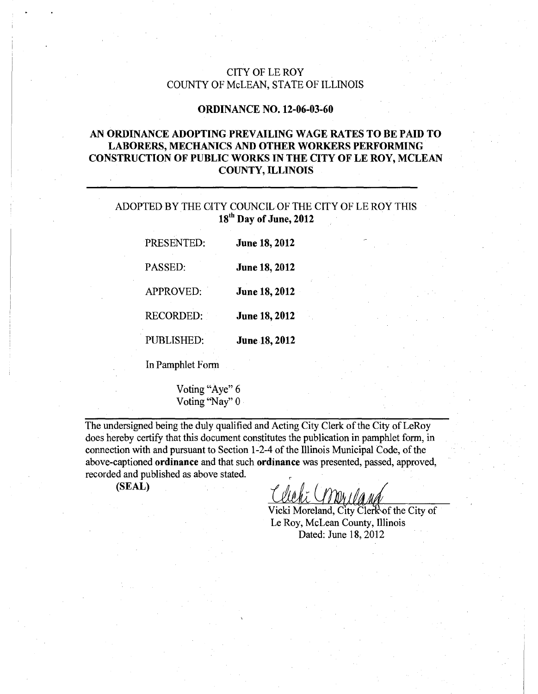## CITY OF LE ROY COUNTY OF McLEAN, STATE OF ILLINOIS

## ORDINANCE NO. 12-06-03-60

## AN ORDINANCE ADOPTING PREVAILING WAGE RATES TO BE PAID TO LABORERS, MECHANICS AND OTHER WORKERS PERFORMING CONSTRUCTION OF PUBLIC WORKS IN THE CITY OF LE ROY, MCLEAN COUNTY, ILLINOIS

## ADOPTED BY THE CITY COUNCIL OF THE CITY OF LE ROY THIS 18<sup>th</sup> Day of June, 2012

| PRESENTED:        | <b>June 18, 2012</b> |
|-------------------|----------------------|
| PASSED:           | <b>June 18, 2012</b> |
| <b>APPROVED:</b>  | June 18, 2012        |
| <b>RECORDED:</b>  | <b>June 18, 2012</b> |
| <b>PUBLISHED:</b> | June 18, 2012        |
|                   |                      |

In Pamphlet Form

Voting "Aye" 6 Voting "Nay" 0

The undersigned being the duly qualified and Acting City Clerk of the City of LeRoy does hereby certify that this document constitutes the publication in pamphlet form, in connection with and pursuant to Section 1-2-4 of the Illinois Municipal Code, of the above-captioned ordinance and that such ordinance was presented, passed, approved, recorded and published as above stated.

(SEAL)

Vicki Moreland, City Clerk of the City of Le Roy, McLean County, Illinois Dated: June 18, 2012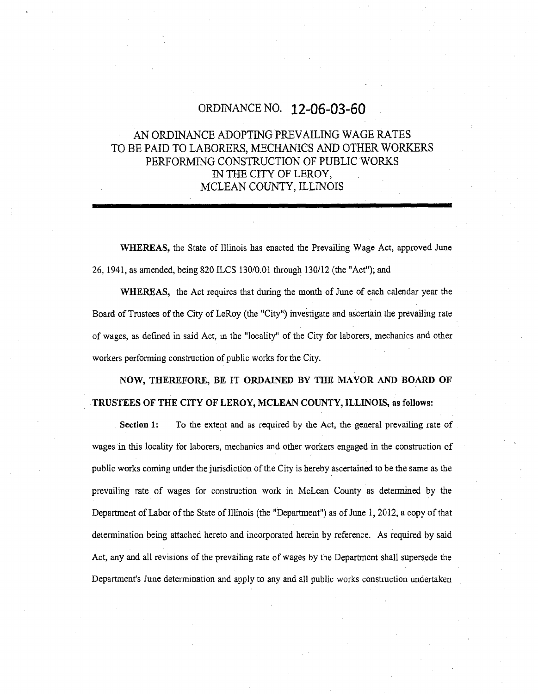# ORDINANCE NO. 12-06-03-60

## AN ORDINANCE ADOPTING PREVAILING WAGE RATES TO BE PAID TO LABORERS, MECHANICS AND OTHER WORKERS PERFORMING CONSTRUCTION OF PUBLIC WORKS IN THE CITY OF LEROY, MCLEAN COUNTY, ILLINOIS

WHEREAS, the State of Illinois has enacted the Prevailing Wage Act, approved June 26, 1941, as amended, being 820 ILCS 130/0.01 through 130/12 (the "Act"); and

WHEREAS, the Act requires that during the month of June of each calendar year the Board of Trustees of the City of LeRoy (the "City") investigate and ascertain the prevailing rate of wages, as defined in said Act, in the "locality" of the City for laborers, mechanics and other workers performing construction of public works for the City.

NOW, THEREFORE, BE IT ORDAINED BY THE MAYOR AND BOARD OF TRUSTEES OF THE CITY OF LEROY, MCLEAN COUNTY, ILLINOIS, as follows:

Section 1: To the extent and as required by the Act, the general prevailing rate of wages in this locality for laborers, mechanics and other workers engaged in the construction of public works coming under the jurisdiction of the City is hereby ascertained to be the same as the prevailing rate of wages for construction work in McLean County as determined by the Department of Labor of the State of Illinois (the "Department") as of June 1, 2012, a copy of that determination being attached hereto and incorporated herein by reference. As required by said Act, any and all revisions of the prevailing rate of wages by the Department shall supersede the Department's June determination and apply to any and all public works construction undertaken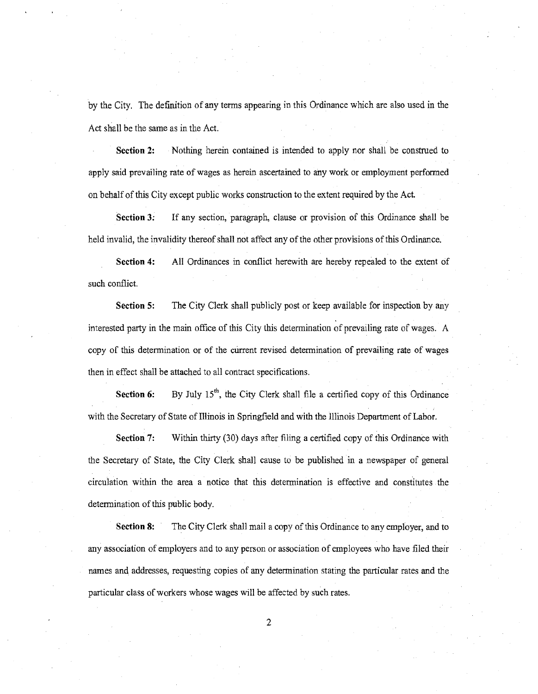by the City. The definition of any terms appearing in this Ordinance which are also used in the Act shall be the same as in the Act.

Section 2: Nothing herein contained is intended to apply nor shall be construed to apply said prevailing rate of wages as herein ascertained to any work or employment performed on behalf of this City except public works construction to the extent required by the Act.

Section 3: If any section, paragraph, clause or provision of this Ordinance shall be held invalid, the invalidity thereof shall not affect any of the other provisions of this Ordinance.

Section 4: All Ordinances in conflict herewith are hereby repealed to the extent of such conflict.

Section 5: The City Clerk shall publicly post or keep available for inspection by any interested parry in the main office of this City this determination of prevailing rate of wages. A copy of this determination or of the current revised determination of prevailing rate of wages then in effect shall be attached to all contract specifications.

Section 6: By July  $15<sup>th</sup>$ , the City Clerk shall file a certified copy of this Ordinance with the Secretary of State of Illinois in Springfield and with the Illinois Department of Labor.

Section 7: Within thirty (30) days after filing a certified copy of this Ordinance with the Secretary of State, the City Clerk shall cause to be published in a newspaper of general circulation within the area a notice that this determination is effective and constitutes the determination of this public body.

Section 8: The City Clerk shall mail a copy of this Ordinance to any employer, and to any association of employers and to any person or association of employees who have filed their names and, addresses, requesting copies of any determination stating the particular rates and the particular class of workers whose wages will be affected by such rates.

2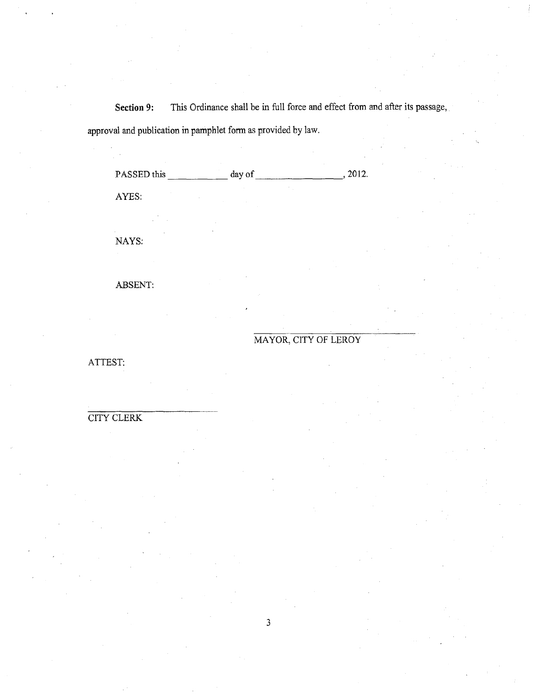Section 9: This Ordinance shall be in full force and effect from and after its passage, approval and publication in pamphlet form as provided by law.

PASSED this day of  $\frac{1}{2}$  day of  $\frac{1}{2}$ , 2012. AYES: NAYS:

ABSENT:

# MAYOR, CITY OF LEROY

ATTEST:

# CITY CLERK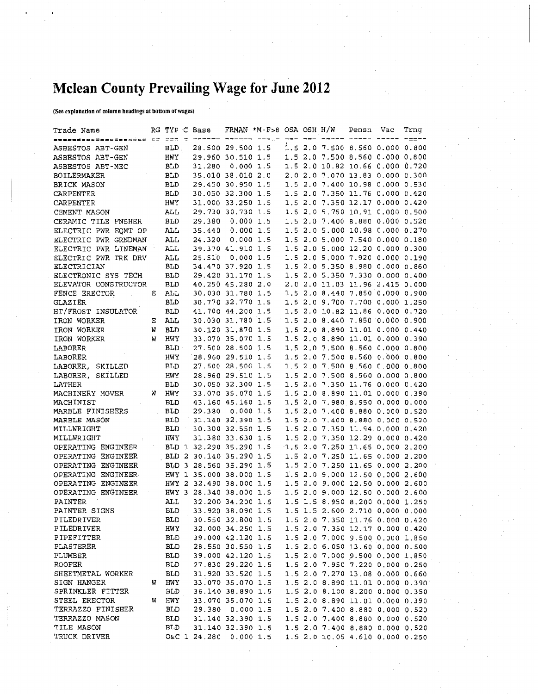# Mclean County Prevailing Wage for June 2012

(See explanation of eniumn headings at bottom of wages)

| Trade Name                                                                                                                             |   |                                 |        | RG TYP C Base FRMAN *M-F>8 OSA OSH H/W Pensn Vac      |  |                                   | Trnq                               |
|----------------------------------------------------------------------------------------------------------------------------------------|---|---------------------------------|--------|-------------------------------------------------------|--|-----------------------------------|------------------------------------|
| <u>Boopqdaastaabooxaan od dox's doosse Stoice iyyaa yhd pai hoppe annoi 2000 11100</u>                                                 |   |                                 |        |                                                       |  |                                   |                                    |
|                                                                                                                                        |   | <b>BLD</b>                      |        | 28.500 29.500 1.5                                     |  | $1.5$ 2.0 7.500 8.560 0.000 0.800 |                                    |
| ASBESTOS ABT-GEN<br>ASBESTOS ABT-GEN                                                                                                   |   | HWY                             |        | 29.960 30.510 1.5                                     |  | 1.5 2.0 7.500 8.560 0.000 0.800   |                                    |
| ASBESTOS ABT-MEC                                                                                                                       |   | BLD                             | 31.280 | 0.0001.5                                              |  | 1.5 2.0 10.82 10.66 0.000 0.720   |                                    |
| BOILERMAKER                                                                                                                            |   | BLD                             |        | 35.010 38.010 2.0                                     |  | 2.0 2.0 7.070 13.83 0.000 0.300   |                                    |
| BRICK MASON                                                                                                                            |   | <b>BLD</b>                      |        | 29.450 30.950 1.5                                     |  | 1.5 2.0 7.400 10.98 0.000 0.530   |                                    |
| CARPENTER                                                                                                                              |   | <b>BLD</b>                      |        | 30.050 32.300 1.5                                     |  | 1.5 2.0 7.350 11.76 0.000 0.420   |                                    |
| CARPENTER                                                                                                                              |   | HWY                             |        | 31.000 33.250 1.5                                     |  | 1.5 2.0 7.350 12.17 0.000 0.420   |                                    |
| CEMENT MASON                                                                                                                           |   | ALL                             |        | 29.730 30.730 1.5                                     |  | 1.5 2.0 5.750 10.91 0.000 0.500   |                                    |
| CERAMIC TILE FNSHER                                                                                                                    |   | <b>BLD</b><br>$\sim$ $\sigma$ . |        | 29.380 0.000 1.5                                      |  | 1.5 2.0 7.400 8.880 0.000 0.520   |                                    |
| ELECTRIC PWR EOMT OP                                                                                                                   |   | ALL                             |        | 35.440 0.000 1.5                                      |  | 1.5 2.0 5.000 10.98 0.000 0.270   |                                    |
| ELECTRIC PWR GRNDMAN                                                                                                                   |   | ALL                             | 24.320 | 0.0001.5                                              |  | 1.5 2.0 5.000 7.540 0.000 0.180   |                                    |
| ELECTRIC PWR LINEMAN                                                                                                                   |   | ALL                             |        | 39.370 41.910 1.5                                     |  | 1.5 2.0 5.000 12.20 0.000 0.300   |                                    |
| ELECTRIC PWR TRK DRV                                                                                                                   |   | ALL                             | 25.510 | 0.0001.5                                              |  | 1.5 2.0 5.000 7.920 0.000 0.190   |                                    |
| ELECTRICIAN                                                                                                                            |   | <b>BLD</b>                      |        | 34.470 37.920 1.5                                     |  | 1.5 2.0 5.350 8.980 0.000 0.860   |                                    |
| ELECTRONIC SYS TECH                                                                                                                    |   | <b>BLD</b>                      |        | 29.420 31.170 1.5                                     |  | 1.5 2.0 5.350 7.330 0.000 0.400   |                                    |
| ELEVATOR CONSTRUCTOR                                                                                                                   |   | BLD                             |        | 40.250 45.280 2.0                                     |  | 2.0 2.0 11.03 11.96 2.415 0.000   |                                    |
| FENCE ERECTOR                                                                                                                          | Е | ALL                             |        | 30.030 31.780 1.5                                     |  |                                   | 1.5 2.0 8.440 7.850 0.000 0.900    |
| GLAZIER                                                                                                                                |   | <b>BLD</b>                      |        | 30.770 32.770 1.5                                     |  | 1.5 2.0 9.700 7.700 0.000 1.250   |                                    |
| HT/FROST INSULATOR                                                                                                                     |   | <b>BLD</b>                      |        | 41.700 44.200 1.5                                     |  | 1.5 2.0 10.82 11.86 0.000 0.720   |                                    |
| IRON WORKER                                                                                                                            |   | E ALL                           |        | 30.030 31.780 1.5                                     |  | 1.5 2.0 8.440 7.850 0.000 0.900   |                                    |
| IRON WORKER                                                                                                                            | W | <b>BLD</b>                      |        | 30.120 31,870 1.5                                     |  | 1.5 2.0 8.890 11.01 0.000 0.440   |                                    |
| IRON WORKER                                                                                                                            | W | HWY                             |        | 33.070 35.070 1.5                                     |  | 1.5 2.0 8.890 11.01 0.000 0.390   |                                    |
| LABORER                                                                                                                                |   | BLD -                           |        | 27.500 28.500 1.5                                     |  | 1.5 2.0 7.500 8.560 0.000 0.800   |                                    |
| LABORER                                                                                                                                |   | HWY                             |        | 28.960 29.510 1.5                                     |  | 1.5 2.0 7.500 8.560 0.000 0.800   |                                    |
| LABORER, SKILLED                                                                                                                       |   | <b>BLD</b>                      |        | 27.500 28.500 1.5                                     |  | 1.5 2.0 7.500 8.560 0.000 0.800   |                                    |
| LABORER, SKILLED                                                                                                                       |   | HWY                             |        | 28.960 29.510 1.5                                     |  | 1.5 2.0 7.500 8.560 0.000 0.800   |                                    |
| LATHER                                                                                                                                 |   | <b>BLD</b>                      |        | 30.050 32.300 1.5                                     |  | 1.5 2.0 7.350 11.76 0.000 0.420   |                                    |
| MACHINERY MOVER                                                                                                                        |   | W HWY                           |        | 33.070 35.070 1.5                                     |  | 1.5 2.0 8.890 11.01 0.000 0.390   |                                    |
| MACHINIST                                                                                                                              |   | <b>BLD</b>                      |        | 43.160 45.160 1.5                                     |  | 1.5 2.0 7.980 8.950 0.000 0.000   |                                    |
| MARBLE FINISHERS                                                                                                                       |   | BLD                             |        | 29.380 0.000 1.5                                      |  | 1.5 2.0 7.400 8.880 0.000 0.520   |                                    |
| MARBLE MASON                                                                                                                           |   | BLD                             |        | 31.140 32.390 1.5                                     |  | 1.5 2.0 7.400 8.880 0.000 0.520   |                                    |
| MILLWRIGHT                                                                                                                             |   | <b>BLD</b>                      |        | 30,300 32.550 1.5                                     |  | 1.5 2.0 7.350 11.94 0.000 0.420   |                                    |
| $\label{eq:2.1} \mathcal{L}(\mathcal{L}^{\text{max}}_{\text{max}}) = \mathcal{L}(\mathcal{L}^{\text{max}}_{\text{max}})$<br>MILLWRIGHT |   | HWY                             |        | 31.380 33.630 1.5                                     |  | 1.5 2.0 7.350 12.29 0.000 0.420   |                                    |
| OPERATING ENGINEER                                                                                                                     |   |                                 |        | BLD 1 32.290 35.290 1.5                               |  |                                   | $1.5$ 2.0 7.250 11.65 0.000 2.200. |
| OPERATING ENGINEER                                                                                                                     |   |                                 |        | BLD 2 30.140 35.290 1.5                               |  | 1.5 2.0 7.250 11.65 0.000 2.200   |                                    |
| OPERATING ENGINEER                                                                                                                     |   |                                 |        | BLD 3 28.560 35.290 1.5                               |  | 1.5 2.0 7.250 11.65 0.000 2.200   |                                    |
| OPERATING ENGINEER.                                                                                                                    |   |                                 |        | HWY 1 35.000 38.000 1.5                               |  | 1.5 2.0 9.000 12.50 0.000 2.600   |                                    |
| OPERATING ENGINEER                                                                                                                     |   |                                 |        | HWY 2 32.490 38.000 1.5                               |  | 1.5 2.0 9.000 12.50 0.000 2.600   |                                    |
| OPERATING ENGINEER                                                                                                                     |   |                                 |        | HWY 3 28.340 38.000 1.5                               |  | 1.5 2.0 9.000 12.50 0.000 2.600   |                                    |
| PAINTER                                                                                                                                |   | $\mathbf{ALL}$                  |        | 32.200 34.200 1.5                                     |  | 1.5 1.5 8.950 8.200 0.000 1.250   |                                    |
| PAINTER SIGNS                                                                                                                          |   | <b>BLD</b>                      |        | 33.920 38.090 1.5                                     |  | 1.5 1.5 2.600 2.710 0.000 0.000   |                                    |
| PILEDRIVER                                                                                                                             |   |                                 |        | BLD 30.550 32.800 1.5 1.5 2.0 7.350 11.76 0.000 0.420 |  |                                   |                                    |
| PILEDRIVER                                                                                                                             |   | HMY                             |        | 32.000 34.250 1.5                                     |  | 1.5 2.0 7.350 12.17 0.000 0.420   |                                    |
| PIPEFITTER                                                                                                                             |   | BLD                             |        | 39.000 42.120 1.5                                     |  | 1.5 2.0 7.000 9.500 0.000 1.850   |                                    |
| PLASTERER                                                                                                                              |   | <b>BLD</b>                      |        | 28.550 30.550 1.5                                     |  | 1.5 2.0 6.050 13.60 0.000 0.500   |                                    |
| PLUMBER                                                                                                                                |   | <b>BLD</b>                      |        | 39.000 42.120 1.5                                     |  | 1.5 2.0 7.000 9.500 0.000 1.850   |                                    |
| <b>ROOFER</b>                                                                                                                          |   | BLD.                            |        | 27.830 29.220 1.5                                     |  | 1.5 2.0 7.950 7.220 0.000 0.250   |                                    |
| SHEETMETAL WORKER                                                                                                                      |   | BLD                             |        | 31.920 33.520 1.5                                     |  | 1.5 2.0 7.270 13.08 0.000 0.660   |                                    |
| SIGN HANGER                                                                                                                            | W | HWY                             |        | 33.070 35.070 1.5                                     |  | 1.5 2.0 8.890 11.01 0.000 0.390   |                                    |
| SPRINKLER FITTER                                                                                                                       |   | <b>BLD</b>                      |        | 36.140 38.890 1.5                                     |  | 1.5 2.0 8.100 8.200 0.000 0.350   |                                    |
| STEEL ERECTOR                                                                                                                          | W | HWY                             |        | 33.070 35.070 1.5                                     |  | 1.5 2.0 8.890 11.01 0.000 0.390   |                                    |
| TERRAZZO FINISHER                                                                                                                      |   | <b>BLD</b>                      |        | 29.380 0.000 1.5                                      |  | 1.5 2.0 7.400 8.880 0.000 0.520   |                                    |
| TERRAZZO MASON                                                                                                                         |   | BLD                             |        | 31.140 32.390 1.5                                     |  | 1.5 2.0 7.400 8.880 0.000 0.520   |                                    |
| TILE MASON                                                                                                                             |   | BLD                             |        | 31.140 32.390 1.5                                     |  | 1.5 2.0 7.400 8.880 0.000 0.520   |                                    |
| TRUCK DRIVER                                                                                                                           |   |                                 |        | O&C 1 24.280 0.000 1.5                                |  | 1.5 2.0 10.05 4.610 0.000 0.250   |                                    |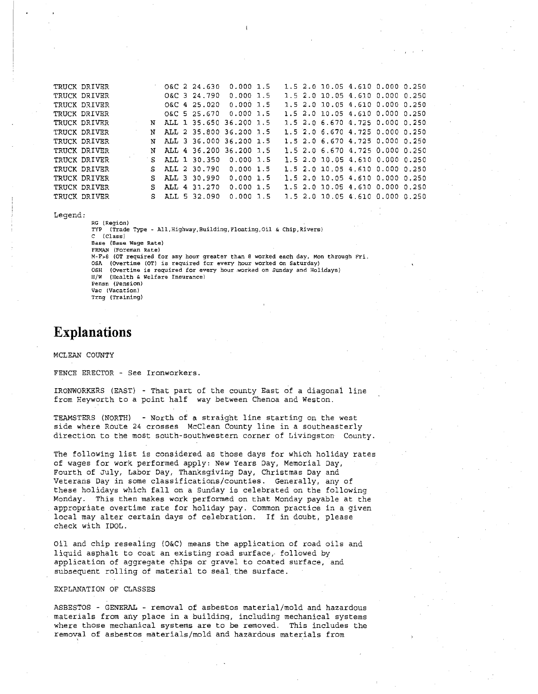| TRUCK DRIVER |    | O&C 2 24.630            | 0.0001.5    |  |  | 1.5 2.0 10.05 4.610 0.000 0.250   |  |
|--------------|----|-------------------------|-------------|--|--|-----------------------------------|--|
| TRUCK DRIVER |    | O&C 3 24.790            | $0.000$ 1.5 |  |  | 1.5 2.0 10.05 4.610 0.000 0.250   |  |
| TRUCK DRIVER |    | O&C 4 25.020            | $0.000$ 1.5 |  |  | 1.5 2.0 10.05 4.610 0.000 0.250   |  |
| TRUCK DRIVER |    | O&C 5 25.670            | $0.000$ 1.5 |  |  | 1.5 2.0 10.05 4.610 0.000 0.250   |  |
| TRUCK DRIVER | N  | ALL 1 35.650 36.200 1.5 |             |  |  | 1.5 2.0 6.670 4.725 0.000 0.250   |  |
| TRUCK DRIVER | N  | ALL 2 35.800 36.200 1.5 |             |  |  | 1.5 2.0 6.670 4.725 0.000 0.250   |  |
| TRUCK DRIVER | N  | ALL 3 36.000 36.200 1.5 |             |  |  | 1.5 2.0 6.670 4.725 0.000 0.250   |  |
| TRUCK DRIVER | N  | ALL 4 36.200 36.200 1.5 |             |  |  | 1.5 2.0 6.670 4.725 0.000 0.250   |  |
| TRUCK DRIVER | S. | ALL 1 30.350            | $0.000$ 1.5 |  |  | 1.5 2.0 10.05 4.610 0.000 0.250   |  |
| TRUCK DRIVER | S. | ALL 2 30.790            | 0.0001.5    |  |  | $1.5$ 2.0 10.05 4.610 0.000 0.250 |  |
| TRUCK DRIVER | S. | ALL 3 30.990            | 0.0001.5    |  |  | $1.5$ 2.0 10.05 4.610 0.000 0.250 |  |
| TRUCK DRIVER |    | ALL 4 31.270            | 0.0001.5    |  |  | 1.5 2.0 10.05 4.610 0.000 0.250   |  |
| TRUCK DRIVER | s  | ALL 5 32.090            | $0.000$ 1.5 |  |  | 1.5 2.0 10.05 4.610 0.000 0.250   |  |

Legend:

RG (Region)<br>TYP (Trade (Trade Type - All, Highway, Building, Floating, Oil & Chip, Rivers) C (Class) Base (Base Wage Rate) FRMAN (Foreman Rate) M-F>8 (OT required for any hour greater than 8 worked each day, Mon through Fri. OSA (Overtime (OT) is required for every hour worked on Saturday) OSH (Overtime is required for every hour worked on Sunday and Holidays) H/W (Health & Welfare Insurance) Pensn (Pension) Vac (Vacation) Trng (Training)

## Explanations

MCLEAN COUNTY

FENCE ERECTOR - See Ironworkers.

IRONWORKERS (EAST) - That part of the county East of a diagonal line from Heyworth to a point half way between Chenoa and Weston.

TEAMSTERS (NORTH) - North of a straight line starting on the west side where Route 24 crosses McClean County line in a southeasterly direction to the most south-southwestern corner of Livingston County

The following list is considered as those days for which holiday rates of wages for work performed apply: New Years Day, Memorial Day, Fourth of July, Labor Day, Thanksgiving Day, Christmas Day and Veterans Day in some classifications/counties. Generally, any of these holidays which fall on a Sunday is celebrated on the following Monday. This then makes work performed on that Monday payable at the appropriate overtime rate for holiday pay. Common practice in a given local may alter certain days of celebration. If in doubt, please check with IDOL.

Oil and chip resealing (0&C) means the application of road oils and liquid asphalt to coat an existing road surface, followed by application of aggregate chips or gravel to coated surface, and subsequent rolling of material to seal the surface.

#### EXPLANATION OF CLASSES

ASBESTOS - GENERAL - removal of asbestos material/mold and hazardous materials from any place in a building, including mechanical systems where those mechanical systems are to be removed. This includes the removal of asbestos materials/mold and hazardous materials from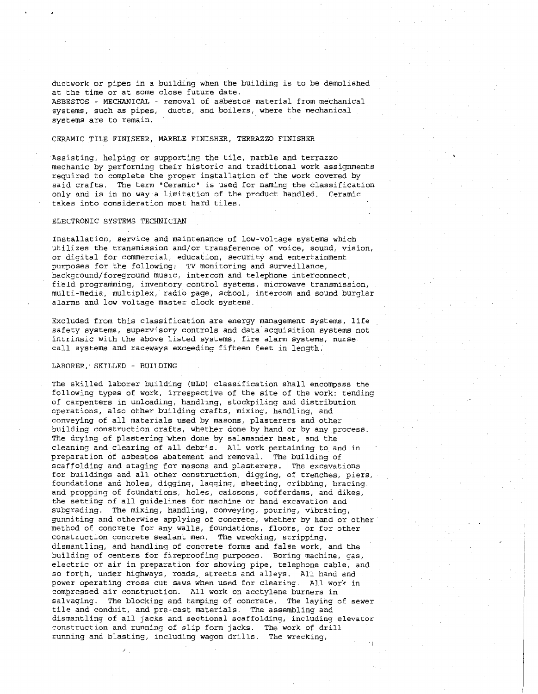ductwork or pipes in a building when the building is to\_be demolished at the time or at some close future date. ASBESTOS - MECHANICAL - removal of asbestos material from mechanical systems, such as pipes, ducts, and boilers, where the mechanical systems are to remain.

#### CERAMIC TILE FINISHER, MARBLE FINISHER, TERRAZZO FINISHER

Assisting, helping or supporting the tile, marble and terrazzo mechanic by performing their historic and traditional work assignments required to complete the proper installation of the work covered by said crafts. The term "Ceramic" is used for naming the classification only and is in no way a limitation of the product handled. Ceramic takes into consideration most hard tiles.

#### ELECTRONIC SYSTEMS TECHNICIAN

Installation, service and maintenance of low-voltage systems which utilizes the transmission and/or transference of voice, sound, vision, or digital for commercial, education, security and entertainment purposes for the following: TV monitoring and surveillance, background/foreground music, intercom and telephone interconnect, field programming, inventory control systems, microwave transmission, multi-media, multiplex, radio page, school, intercom and sound burglar alarms and low voltage master clock systems.

Excluded from this classification are energy management systems, life safety systems, supervisory controls and data acquisition systems not intrinsic with the above listed systems, fire alarm systems, nurse call systems and raceways exceeding fifteen feet in length.

#### LABORER,'SKILLED - BUILDING

The skilled laborer building (BLD) classification shall encompass the following types of work, irrespective of the site of the work: tending of carpenters in unloading, handling, stockpiling and distribution operations, also other building crafts, mixing, handling, and conveying of all materials used by masons, plasterers and other building construction crafts, whether done by hand or by any process. The drying of plastering when done by salamander heat, and the cleaning and clearing of all debris. All work pertaining to and in preparation of asbestos abatement and removal. The building of scaffolding and staging for masons and plasterers. The excavations for buildings and all other construction, digging, of trenches, piers, foundations and holes, digging, lagging, sheeting, cribbing, bracing and propping of foundations, holes, caissons, cofferdams, and dikes, the setting of all guidelines for machine or hand excavation and subgrading. The mixing, handling, conveying, pouring, vibrating, gunniting and otherwise applying of concrete, whether by hand or other method of concrete for any walls, foundations, floors, or for other construction concrete sealant men. The wrecking, stripping, dismantling, and handling of concrete forms and false work, and the building of centers for fireproofing purposes. Boring machine, gas, electric or air in preparation for shoving pipe, telephone cable, and so forth, under highways, roads, streets and alleys. All hand and power operating cross cut saws when used for clearing. All work in compressed air construction. All work on acetylene burners in salvaging. The blocking and tamping of concrete. The laying of sewer tile and conduit, and pre-cast materials. The assembling and dismantling of all jacks and sectional scaffolding, including elevator construction and running of slip form jacks. The work of drill running and blasting, including wagon drills. The wrecking,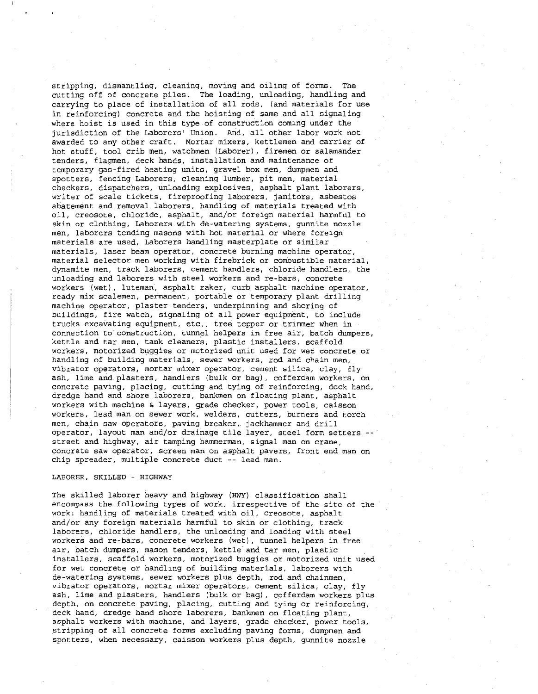stripping, dismantling, cleaning, moving and oiling of forms. The cutting off of concrete piles. The loading, unloading, handling and carrying to place of installation of all rods, (and materials for use in reinforcing) concrete and the hoisting of same and all signaling where hoist is used in this type of construction coming under the jurisdiction of the Laborers' Union. And, all other labor work not awarded to any other craft. Mortar mixers, kettlemen and carrier of hot stuff, tool crib men, watchmen (Laborer), firemen or salamander tenders, flagmen, deck hands, installation and maintenance of temporary gas-fired heating units, gravel box men, dumpmen and spotters, fencing Laborers, cleaning lumber, pit men, material checkers, dispatchers, unloading explosives, asphalt plant laborers, writer of scale tickets, fireproofing laborers, janitors, asbestos abatement and removal laborers, handling of materials treated with oil, creosote, chloride, asphalt, and/or foreign material harmful to skin or clothing, Laborers with de-watering systems, gunnite nozzle men, laborers tending masons with hot material or where foreign materials are used, Laborers handling masterplate or similar materials, laser beam operator, concrete burning machine operator, material selector men working with firebrick or combustible material, dynamite men, track laborers, cement handlers, chloride handlers, the unloading and laborers with steel workers and re-bars, concrete workers (wet), luteman asphalt raker, curb asphalt machine operator, ' ready mix scalemen, permanent, portable or temporary plant drilling machine operator, plaster tenders, underpinning and shoring of buildings, fire watch, signaling of all power equipment, to include trucks excavating equipment, etc., tree topper or trimmer when in connection to construction, tunnel helpers in free air, batch dumpers, kettle and tar men, tank cleaners, plastic installers, scaffold workers, motorized buggies or motorized unit used for wet concrete or handling of building materials., sewer workers, rod and chain men, vibrator operators, mortar mixer operator, cement silica, clay, fly ash, lime and.plasters, handlers (bulk or bag), cofferdam workers, on concrete paving, placing, cutting and tying of reinforcing, deck hand, dredge hand and shore laborers, bankmen on floating plant, asphalt workers with machine & layers, grade checker, power tools, caisson workers, lead man on sewer work, welders, cutters, burners and torch men, chain saw operators, paving breaker,. jackhammer and drill operator, layout man and/or drainage tile layer, steel form setters - street and highway, air tamping hammerman, signal man on crane, concrete saw operator, screen man on asphalt pavers, front end man on chip spreader, multiple concrete duct -- lead man.

#### LABORER, SKILLED - HIGHWAY

The skilled laborer heavy and highway (HWY) classification shall encompass the following types of work, irrespective of the site of the work: handling of materials treated with oil, creosote, asphalt and/or any foreign materials harmful to skin or clothing, track laborers, chloride handlers, the unloading and loading with steel workers and re-bars, concrete workers (wet), tunnel helpers in free air, batch dumpers, mason tenders, kettle and tar men, plastic installers, scaffold workers, motorized buggies or motorized unit used for wet concrete or handling of building materials, laborers with de-watering systems, sewer workers plus depth, rod and chainmen, vibrator operators, mortar mixer operators, cement silica, clay, fly ash, lime and plasters, handlers (bulk or bag), cofferdam workers plus depth, on concrete paving, placing, cutting and tying or reinforcing, deck hand, dredge hand shore laborers, bankmen on floating plant, asphalt workers with machine, and layers, grade checker, power tools, stripping of all concrete forms excluding paving forms, dumpmen and spotters, when necessary, caisson workers plus depth, gunnite nozzle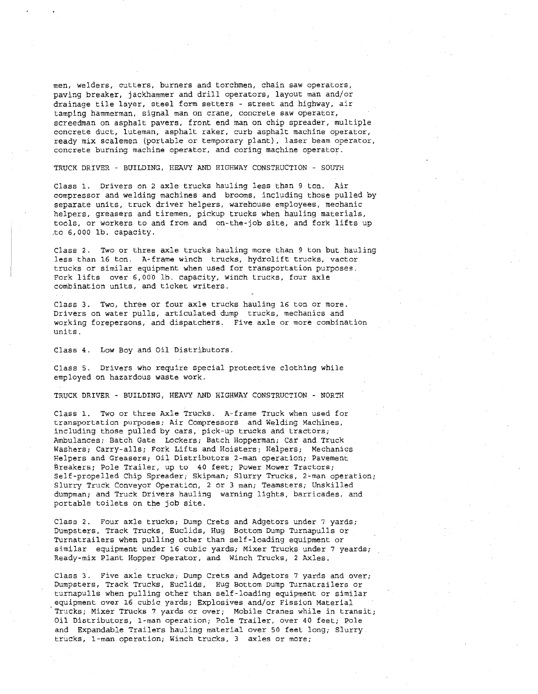men, welders, cutters, burners and torchmen, chain saw operators, paving breaker, jackhammer and drill operators, layout man and/or drainage tile layer, steel form setters - street and highway, air tamping hammerman, signal man on crane, concrete saw operator, screedman on asphalt pavers, front end man on chip spreader, multiple concrete duct, luteman, asphalt raker, curb asphalt machine operator, ready mix scalemen (portable or temporary plant), laser beam operator, concrete burning machine operator, and coring machine operator.

TRUCK DRIVER - BUILDING, HEAVY AND HIGHWAY CONSTRUCTION - SOUTH

Class 1. Drivers on 2 axle trucks hauling less than 9 ton. Air compressor and welding machines and brooms, including those pulled by separate units, truck driver helpers, warehouse employees, mechanic helpers, greasers and tiremen, pickup trucks when hauling materials, tools, or workers to and from and on-the-job site, and fork lifts up ,to 6,000 lb. capacity.

Class 2. Two or three axle trucks hauling more than 9 ton but hauling less than 16 ton. A-frame winch trucks, hydrolift trucks, vactor trucks or similar equipment when used for transportation purposes. Fork lifts over 6,000 lb. capacity, winch trucks, four axle combination units, and ticket writers.

Class 3. Two, three or four axle trucks hauling 16 ton or more. Drivers on water pulls, articulated dump trucks, mechanics and working forepersons, and dispatchers. Five axle or more combination units.

Class 4. Low Boy and Oil Distributors.

Class 5. Drivers who require special protective clothing while employed on hazardous waste work.

TRUCK DRIVER - BUILDING, HEAVY AND HIGHWAY CONSTRUCTION - NORTH

Class 1. Two or three Axle Trucks. A-frame Truck when used for transportation purposes; Air Compressors and Welding Machines, including those pulled by cars, pick-up trucks and tractors; Ambulances; Batch Gate Lockers; Batch Hopperman; Car and Truck Washers; Carry-alls; Fork Lifts and Hoisters; Helpers; Mechanics Helpers and Greasers; Oil Distributors 2-man operation; Pavement Breakers; Pole Trailer, up to 40 feet; Power Mower Tractors; Self-propelled Chip Spreader; Skipman; Slurry Trucks, 2-man operation; Slurry Truck Conveyor Operation, 2 or 3 man; Teamsters; Unskilled dumpman; and Truck Drivers hauling warning lights, barricades, and portable toilets on the job site.

Class 2. Four axle trucks; Dump Crets and Adgetors under '7 yards; Dumpsters, Track Trucks, Euclids, Hug Bottom Dump Turnapulls or Turnatrailers when pulling other than self-loading equipment or similar equipment under 16 cubic yards; Mixer Trucks under 7 yeards; Ready-mix Plant Hopper Operator, and Winch Trucks, 2 Axles.

Class 3. Five axle trucks; Dump Crets and Adgetors 7 yards and over; Dumpsters, Track Trucks, Euclids, Hug Bottom Dump Turnatrailers or turnapulls when pulling other than self-loading equipment or similar equipment over 16 cubic yards; Explosives and/or Fission Material Trucks; Mixer Trucks 7 yards or over; Mobile Cranes while in transit; Oil Distributors, 1-man operation; Pole Trailer, over 40 feet; Pole and Expandable Trailers hauling material over 50 feet long; Slurry. trucks, 1-man operation; Winch trucks, 2 axles or more;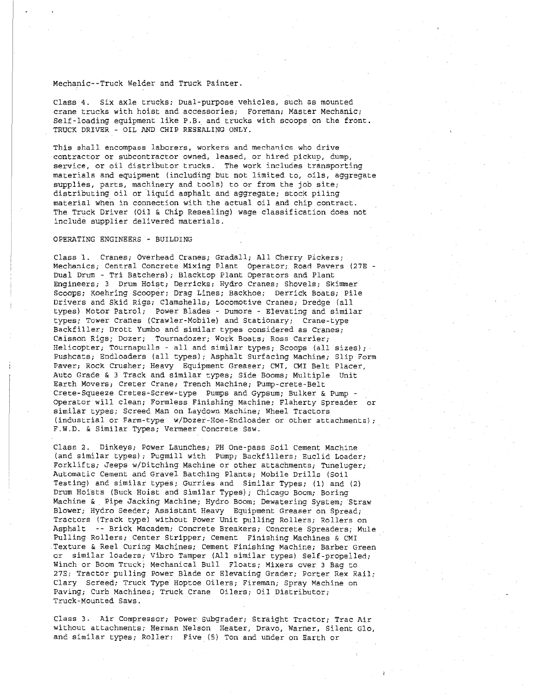#### Mechanic--Truck Welder and Truck Painter.

Class 4. Six axle trucks; Dual-purpose vehicles, such as mounted crane trucks with hoist and accessories; Foreman; Master Mechanic; Self-loading equipment like P.B. and trucks with scoops on the front. TRUCK DRIVER - OIL AND CHIP RESEALING ONLY.

This shall encompass laborers, workers and mechanics who drive contractor or subcontractor owned, leased, or hired pickup, dump, service, or oil distributor trucks. The work includes transporting materials and equipment (including but not limited to, oils, aggregate supplies, parts, machinery and tools) to or from the job site; distributing oil or liquid asphalt and aggregate; stock piling material when in connection with the actual oil and chip contract. The Truck Driver (Oil & Chip Resealing) wage classification does not include supplier delivered materials.

#### OPERATING ENGINEERS - BUILDING

Class 1. Cranes; Overhead Cranes; Gradall; All Cherry Pickers; Mechanics; Central Concrete Mixing Plant Operator;, Road Pavers (27E - Dual Drum - Tri Batchers); Blacktop Plant Operators and Plant Engineers; 3 Drum Hoist; Derricks; Hydro Cranes; Shovels; Skimmer Scoops; Koehring Scooper; Drag Lines; Backhoe; Derrick Boats; Pile Drivers and Skid Rigs; Clamshells; Locomotive Cranes; Dredge (all types) Motor Patrol; Power Blades - Dumore - Elevating and similar types; Tower Cranes (Crawler-Mobile) and Stationary; Crane-type Backfiller; Drott Yumbo and similar types considered as Cranes; Caisson Rigs; Dozer; Tournadozer; Work Boats; Ross Carrier; Helicopter; Tournapulls - all and similar types; Scoops (all sizes); Pushcats; Endloaders (all types); Asphalt Surfacing Machine; Slip Form Paver; Rock Crusher; Heavy Equipment Greaser; CMI, CMI Belt Placer, Auto Grade & 3 Track and similar types; Side Booms; Multiple Unit Earth Movers; Creter Crane; Trench Machine; Pump-crete-Belt Crete-Squeeze Cretes-Screw-type Pumps and Gypsum; Bulker & Pump - Operator will clean; Formless Finishing Machine; Flaherty Spreader or similar types; Screed Man on Laydown Machine; Wheel Tractors (industrial or Farm-type w/Dozer-Hoe-Endloader or other attachments); F.W.D. & Similar Types; Vermeer Concrete Saw.

Class 2. Dinkeys; Power Launches; PH One-pass Soil Cement Machine (and similar types); Pugmill with Pump; Backfillers; Euclid Loader; Forklifts; Jeeps w/Ditching Machine or other attachments; Tuneluger; Automatic Cement and Gravel Batching Plants; Mobile Drills (Soil Testing) and similar types; Gurries and Similar Types; (1) and (2) Drum Hoists (Buck Hoist and Similar Types); Chicago Boom; Boring Machine & Pipe Jacking Machine; Hydro Boom; Dewatering System; Straw Blower; Hydro Seeder; Assistant Heavy Equipment Greaser on Spread; Tractors (Track type) without Power Unit pulling Rollers; Rollers on Asphalt -- Brick Macadem; Concrete Breakers; Concrete Spreaders; Mule Pulling Rollers; Center Stripper; Cement Finishing Machines & CMI Texture & Reel Curing Machines; Cement Finishing Machine; Barber Green or similar loaders; Vibro Tamper (All similar types) Self-propelled; Winch or Boom Truck; Mechanical Bull Floats; Mixers over 3 Bag to 27E; Tractor pulling Power Blade or Elevating Grader; Porter Rex Rail; Clary Screed; Truck Type Hoptoe Oilers; Fireman; Spray Machine on Paving; Curb Machines; Truck Crane Oilers; Oil Distributor; Truck-Mounted Saws.

Class 3. Air Compressor; Power Subgrader; Straight Tractor; Trac Air without attachments; Herman Nelson Heater, Dravo, Warner, Silent Glo, and similar types; Roller: Five (5) Ton and under on Earth or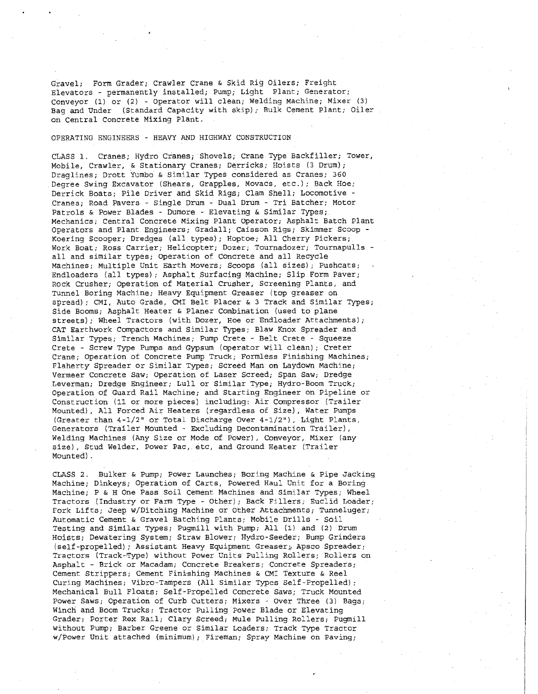Gravel; Form Grader; Crawler Crane & Skid Rig Oilers; Freight Elevators - permanently installed; Pump; Light Plant; Generator; Conveyor (1) or (2) - Operator will clean; welding Machine; Mixer (3) Bag and Under (Standard Capacity with skip); Bulk Cement Plant; Oiler on Central Concrete Mixing Plant.

#### OPERATING ENGINEERS - HEAVY AND HIGHWAY CONSTRUCTION

CLASS 1. Cranes; Hydro Cranes; Shovels; Crane Type Backfiller; Tower, Mobile, Crawler, & Stationary Cranes; Derricks; Hoists (3 Drum); Draglines; Drott Yumbo & Similar Types considered as Cranes; 360 Degree Swing Excavator (Shears, Grapples, Movacs, etc.); Back Hoe; Derrick Boats; Pile Driver and Skid Rigs; Clam Shell; Locomotive - Cranes; Road Pavers - Single Drum — Dual Drum - Tri Batcher; Motor Patrols & Power Blades - Dumore - Elevating & Similar Types; Mechanics; Central Concrete Mixing Plant Operator; Asphalt Batch Plant Operators and Plant Engineers; Gradall; Caisson Rigs; Skimmer Scoop - Koering Scooper; Dredges (all types); Hoptoe; All Cherry Pickers; Work Boat; Ross Carrier; Helicopter; Dozer; Tournadozer; Tournapulls all and similar types; Operation of Concrete and all Recycle Machines; Multiple Unit Earth Movers; Scoops (all sizes); Pushcats; Endloaders (all types); Asphalt Surfacing Machine; Slip Form Paver; Rock Crusher; Operation of Material Crusher, Screening Plants, and Tunnel Boring Machine; Heavy Equipment Greaser (top greaser on spread); CMI, Auto Grade, CMI Belt Placer & 3 Track and Similar Types; Side Booms; Asphalt Heater & Planer Combination (used to plane streets); Wheel Tractors (with Dozer, Hoe or Endloader Attachments); CAT Earthwork Compactors and Similar Types; Blaw Knox Spreader and Similar Types,; Trench Machines; Pump Crete - Belt Crete - Squeeze Crete - Screw Type Pumps and Gypsum (operator will clean); Creter Crane; Operation of Concrete Pump Truck; Formless Finishing Machines; Flaherty Spreader or Similar Types; Screed Man on Laydown Machine; Vermeer Concrete Saw; Operation of Laser Screed; Span Saw; Dredge Leverman; Dredge Engineer; Lull or Similar Type; Hydro-Boom Truck; Operation of Guard Rail Machine; and Starting Engineer on Pipeline or Construction (11 or more pieces) including: Air Compressor (Trailer Mounted), All Forced Air Heaters (regardless of Size), Water Pumps (Greater than  $4-1/2$ " or Total Discharge Over  $4-1/2$ "), Light Plants, Generators (Trailer Mounted - Excluding Decontamination Trailer), Welding Machines (Any Size or Mode of Power), Conveyor, Mixer (any size), Stud Welder, Power Pac, etc, and Ground Heater (Trailer Mounted).

CLASS 2. Bulker & Pump; Power Launches; Boring Machine & Pipe Jacking Machine; Dinkeys; Operation of Carts, Powered Haul Unit for a Boring Machine; P & H One Pass Soil Cement Machines and Similar Types; Wheel Tractors (Industry or Farm Type - Other); Back Fillers; Euclid Loader; Fork Lifts; Jeep w/Ditching Machine or Other Attachments; Tunneluger; Automatic Cement & Gravel Batching Plants; Mobile Drills - Soil Testing and Similar Types; Pugmill with Pump; All (1) and (2) Drum Hoists; Dewatering System; Straw Blower; Hydro-Seeder; Bump Grinders (self-propelled); Assistant Heavy Equipment Greaser;, Apsco Spreader; Tractors (Track-Type) without Power Units Pulling Rollers; Rollers on Asphalt - Brick or Macadam; Concrete Breakers; Concrete Spreaders; Cement Strippers; Cement Finishing Machines & CMI Texture & Reel Curing Machines; Vibrc-Tampers (All Similar Types Self-Propelled); Mechanical Bull Floats; Self-Propelled Concrete Saws; Truck Mounted Power Saws; Operation of Curb Cutters; Mixers - Over Three (3) Bags; Winch and Boom Trucks; Tractor Pulling Power Blade or Elevating Grader; Porter Rex Rail; Clary Screed; Mule Pulling Rollers; Pugmill without Pump; Barber Greene or Similar Loaders; Track Type Tractor w/Power Unit attached (minimum); Fireman; Spray Machine on Paving;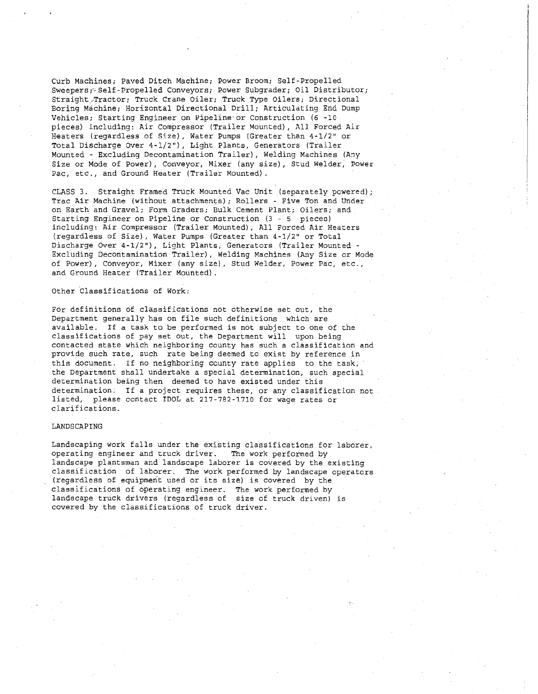Curb Machines; Paved Ditch Machine; Power Broom; Self-Propelled Sweepers; Self-Propelled Conveyors; Power Subgrader; Oil Distributor; Straight.Tractor; Truck Crane Oiler; Truck Type Oilers; Directional Boring Machine; Horizontal Directional Drill; Articulating End Dump Vehicles; Starting Engineer on Pipeline or Construction (6 -10 pieces) including: Air Compressor (Trailer Mounted), All Forced Air Heaters (regardless of Size), Water Pumps (Greater than 4-1/2" or Total Discharge Over 4-1/2"), Light Plants, Generators (Trailer Mounted - Excluding Decontamination Trailer), Welding Machines (Any Size or Mode of Power), Conveyor, Mixer (any size), Stud welder, Power Pac, etc., and Ground Heater (Trailer Mounted).

CLASS 3. Straight Framed Truck Mounted Vac Unit (separately powered); Trac Air Machine (without attachments); Rollers - Five Ton and Under on Earth and Gravel; Form Graders; Bulk Cement Plant; Oilers; and Starting Engineer on Pipeline or Construction (3 - 5 pieces) including: Air Compressor (Trailer Mounted), All Forced Air Heaters (regardless of Size), Water Pumps (Greater than 4-1/2" or Total Discharge Over 4-1/211), Light Plants, Generators (Trailer Mounted - Excluding Decontamination Trailer), Welding Machines (Anv Size or Mode of Power), Conveyor, Mixer (any size), Stud Welder, Power Pac, etc., and Ground Heater (Trailer Mounted).

#### Other Classifications of Work:

For definitions of classifications not otherwise set out, the Department generally has on file such definitions which are available. If a task to be performed is not subject to one of the classifications of pay set out, the Department will upon being contacted state which neighboring county has such a classification and provide such rate, such rate being deemed to exist by reference in this document. If no neighboring county rate applies to the task, the Department shall undertake a special determination, such special determination being then deemed to have existed under this determination. If a project requires these, or any classification not listed, please contact IDOL at 217-792-1710 for wage rates or clarifications.

#### LANDSCAPING

Landscaping work falls under the existing classifications for laborer, operating engineer and truck driver. The work performed by landscape plantsman and landscape laborer is covered by the existing classification of laborer. The work performed by landscape operators (regardless of equipment used or its size) is covered by the classifications of operating engineer. The work performed by landscape truck drivers (regardless of size of truck driven) is covered by the classifications of truck driver.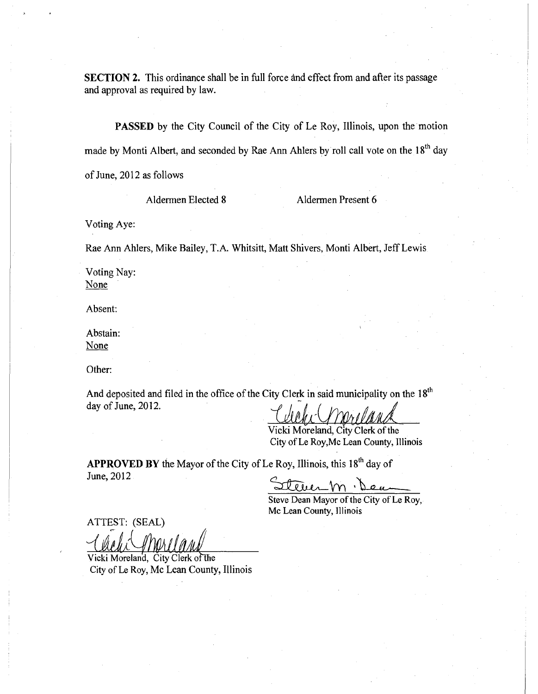SECTION 2. This ordinance shall be in full force and effect from and after its passage and approval as required by law.

PASSED by the City Council of the City of Le Roy, Illinois, upon the motion made by Monti Albert, and seconded by Rae Ann Ahlers by roll call vote on the 18<sup>th</sup> day of June, 2012 as follows

Aldermen Elected 8 Aldermen Present 6

Voting Aye:

Rae Ann Ahlers, Mike Bailey, T.A. Whitsitt, Matt Shivers, Monti Albert, Jeff Lewis.

Voting Nay: None

Absent:

Abstain: None

Other:

And deposited and filed in the office of the City Clerk in said municipality on the  $18<sup>th</sup>$ day of June, 2012.

Vicki Moreland, City Clerk of the City of Le Roy,Me Lean County, Illinois

APPROVED BY the Mayor of the City of Le Roy, Illinois, this 18<sup>th</sup> day of June, 2012

 $.$  Dex.

Steve Dean Mayor of the City of Le Roy, Mc Lean County, Illinois

ATTEST: (SEAL) (ATTEST. (SEAL)<br>
Vicki Moreland, City Clerk of the

City of Le Roy, Mc Lean County, Illinois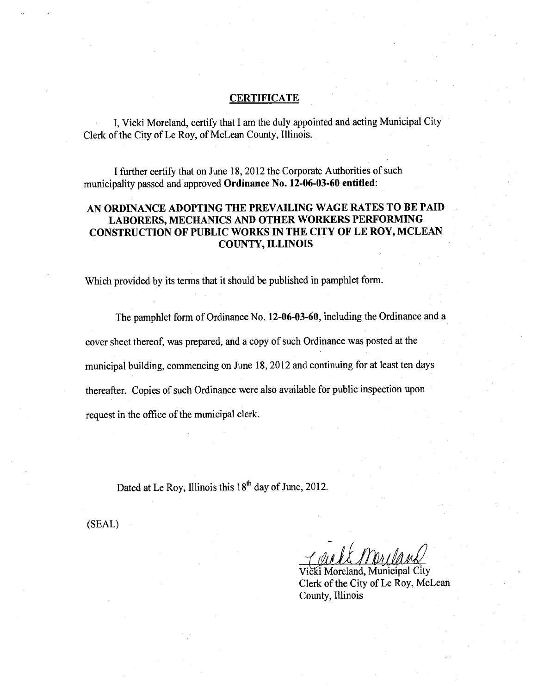## **CERTIFICATE**

I, Vicki Moreland, certify that I am the duly appointed and acting Municipal City Clerk of the City of Le Roy, of McLean County, Illinois.

I further certify that on June 18, 2012 the Corporate Authorities of such municipality passed and approved Ordinance No. 12-06-03-60 entitled:

## AN ORDINANCE ADOPTING THE PREVAILING WAGE RATES TO BE PAID LABORERS, MECHANICS AND OTHER WORKERS PERFORMING CONSTRUCTION OF PUBLIC WORKS IN THE CITY OF LE ROY, MCLEAN COUNTY, ILLINOIS

Which provided by its terms that it should be published in pamphlet form.

The pamphlet form of Ordinance No. 12-06-03-60, including the Ordinance and a cover sheet thereof, was prepared, and a copy of such Ordinance was posted at the municipal building, commencing on June 18, 2012 and continuing for at least ten days thereafter. Copies of such Ordinance were also available for public inspection upon request in the office of the municipal clerk.

Dated at Le Roy, Illinois this 18<sup>th</sup> day of June, 2012.

(SEAL)

<u>- Cache Marile</u>

Vicki Moreland, Municipal City Clerk of the City of Le Roy, McLean County, Illinois